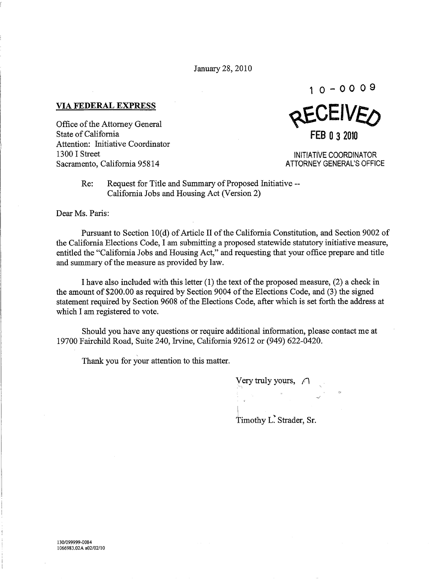January 28,2010

**VIA FEDERAL EXPRESS** 

Office of the Attorney General State of California Attention: Initiative Coordinator 1300 I Street Sacramento, California 95814

**10-0 009**  REVEIVED **FEB 032010** 

INITIATIVE COORDINATOR ATTORNEY GENERAL'S OFFICE

Re: Request for Title and Summary of Proposed Initiative-- California Jobs and Housing Act (Version 2)

Dear Ms. Paris:

Pursuant to Section 10(d) of Article II of the California Constitution, and Section 9002 of the California Elections Code, I am submitting a proposed statewide statutory initiative measure, entitled the "California Jobs and Housing Act," and requesting that your office prepare and title and summary of the measure as provided by law.

I have also included with this letter (1) the text of the proposed measure, (2) a check in the amount of \$200.00 as required by Section 9004 of the Elections Code, and (3) the signed statement required by Section 9608 of the Elections Code, after which is set forth the address at which I am registered to vote.

Should you have any questions or require additional information, please contact me at 19700 Fairchild Road, Suite 240, Irvine, California 92612 or (949) 622-0420.

Thank you for your attention to this matter.

Very truly yours,  $\bigcap$ I Timothy L. Strader, Sr.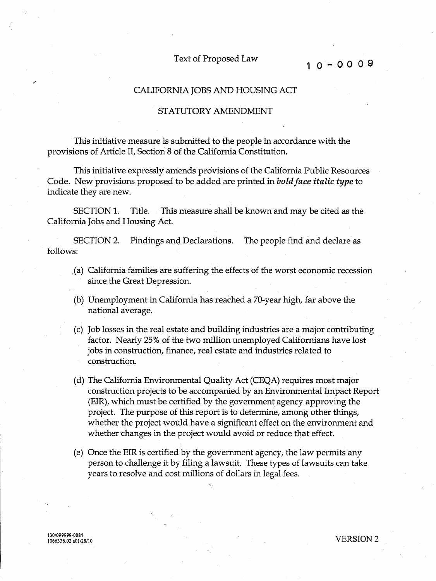## Text of Proposed Law **10-00 09**

## CALIFORNIA JOBS AND HOUSING ACT

## STATUTORY AMENDMENT

This initiative measure is submitted to the people in accordance with the provisions of Article II, Section 8 of the California Constitution.

This initiative expressly amends provisions of the California Public Resources Code. New provisions proposed to be added are printed in *bold face italic type* to indicate they are new.

SECTION 1. Title. This measure shall be known and may be cited as the California Jobs and Housing Act.

SECTION 2. Findings and Declarations. The people find and declare as follows:

- (a) California families are suffering the effects of the worst economic recession since the Great Depression.
- (b) Unemployment in California has reached a 70-year high, far above the national average.
- (c) Job losses in the real estate and building industries are a major contributing factor. Nearly 25% of the two million unemployed Californians have lost jobs in construction, finance, real estate and industries related to construction.
- (d) The California Environmental Quality Act (CEQA) requires most major construction projects to be accompanied by an Environmental Impact Report (EIR), which must be certified by the government agency approving the project. The purpose of this report is to determine, among other things, whether the project would have a significant effect on the environment and whether changes in the project would avoid or reduce that effect.
- (e) Once the EIR is certified by the government agency, the law permits any person to challenge it by filing a lawsuit. These types of lawsuits can take years to resolve and cost millions of dollars in legal fees.

/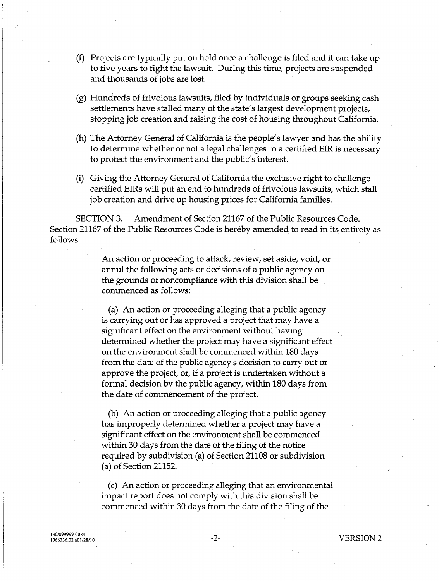- (f) Projects are typically put on hold once a challenge is filed and it can take up to five years to fight the lawsuit. During this time, projects are suspended and thousands of jobs are lost.
- (g) Hundreds of frivolous lawsuits, filed by individuals or groups seeking cash settlements have stalled many of the state's largest development projects, stopping job creation and raising the cost of housing throughout California.
- (h) The Attorney General of California is the people's lawyer and has the ability to determine whether or not a legal challenges to a certified EIR is necessary to protect the environment and the public's interest.
- (i) Giving the Attorney General of California the exclusive right to challenge certified EIRs will put an end to hundreds of frivolous lawsuits, which stall job creation and drive up housing prices for California families.

SECTION 3. Amendment of Section 21167 of the Public Resources Code. Section 21167 of the Public Resources Code is hereby amended to read in its entirety as follows:

> An action or proceeding to attack, review, set aside, void, or annul the following acts or decisions of a public agency on the grounds of noncompliance with this division shall be commenced as follows:

> (a) An action or proceeding alleging that a public agency is carrying out or has approved a project that may have a significant effect on the environment without having determined whether the project may have a significant effect on the environment shall be commenced within 180 days from the date of the public agency's decision to carry out or approve the project, or, if a project is undertaken without a formal decision by the public agency, within 180 days from the date of commencement of the project.

(b) An action or proceeding alleging that a public agency has improperly determined whether a project may have a significant effect on the environment shall be commenced within 30 days from the date of the filing of the notice. required by subdivision (a) of Section 21108 or subdivision (a) of Section 21152.

(c) An action or proceeding alleging that an environmental impact report does not comply with this division shall be commenced within 30 days from the date of the filing of the

130/099999-0084 1066336.02 a01/28/10

-2- VERSION 2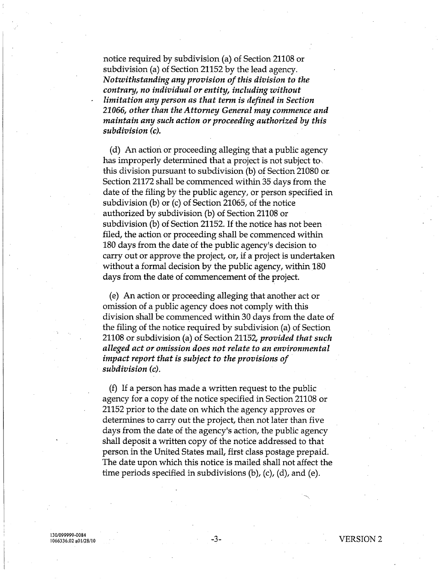notice required by subdivision (a) of Section 21108 or subdivision (a) of Section 21152 by the lead agency. *Notwithstanding any provision of this division* to *the contrary, no individual or entity, including without limitation any person as that term is defined in Section 21066, other than the Attorney General may commence and maintain any such action or proceeding authorized by this subdivision (c).* 

(d) An action or proceeding alleging that a public agency has improperly determined that a project is not subject to this division pursuant to subdivision (b) of Section 21080 or. Section 21172 shall be commenced within 35 days from the date of the filing by the public agency, or person specified in subdivision (b) or (c) of Section 21065, of the notice authorized by subdivision (b) of Section 21108 or subdivision (b) of Section 21152. If the notice has not been filed, the action or proceeding shall be commenced within 180 days from the date of the public agency's decision to carry out or approve the project, or, if a project is undertaken without a formal decision by the public agency, within 180 days from the date of commencement of the project.

(e) An action or proceeding alleging that another act or omission of a public agency does not comply with this division shall be commenced within 30 days from the date of the filing of the notice required by subdivision (a) of Section 21108 or subdivision (a) of Section 21152, *provided that such alleged act or omission does not relate* to *an environmental impact report that is subject* to *the provisions of subdivision (c).* 

(f) If a person has made a written request to the public agency for a copy of the notice specified in Section 21108 or 21152 prior to the date on which the agency approves or determines to carry out the project, then not later than five days from the date of the agency's action, the public agency shall deposit a written copy of the notice addressed to that person in the United States mail, first class postage prepaid. The date upon which this notice is mailed shall not affect the time periods specified in subdivisions (b), (c), (d), and (e).

130/099999-0084 1066336.02 a01/28/10

-3- VERSION 2